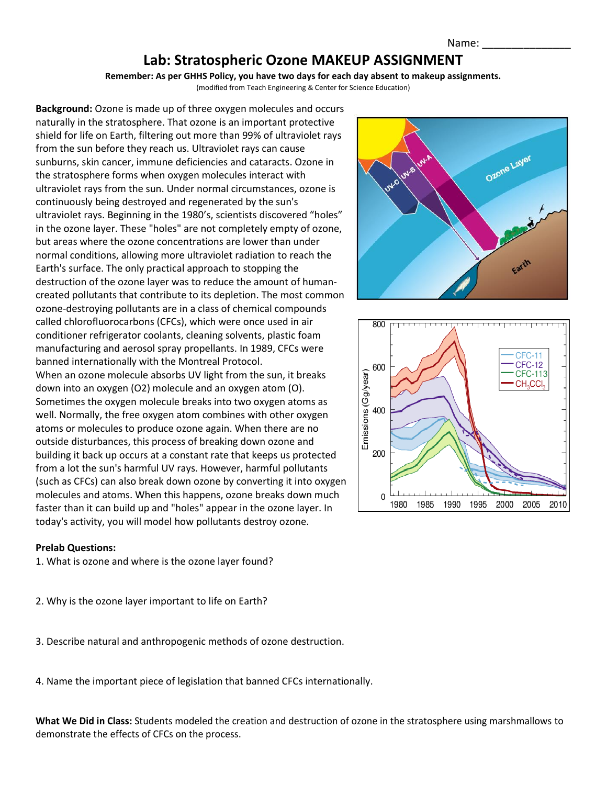## **Lab: Stratospheric Ozone MAKEUP ASSIGNMENT**

**Remember: As per GHHS Policy, you have two days for each day absent to makeup assignments.**

(modified from Teach Engineering & Center for Science Education)

**Background:** Ozone is made up of three oxygen molecules and occurs naturally in the stratosphere. That ozone is an important protective shield for life on Earth, filtering out more than 99% of ultraviolet rays from the sun before they reach us. Ultraviolet rays can cause sunburns, skin cancer, immune deficiencies and cataracts. Ozone in the stratosphere forms when oxygen molecules interact with ultraviolet rays from the sun. Under normal circumstances, ozone is continuously being destroyed and regenerated by the sun's ultraviolet rays. Beginning in the 1980's, scientists discovered "holes" in the ozone layer. These "holes" are not completely empty of ozone, but areas where the ozone concentrations are lower than under normal conditions, allowing more ultraviolet radiation to reach the Earth's surface. The only practical approach to stopping the destruction of the ozone layer was to reduce the amount of humancreated pollutants that contribute to its depletion. The most common ozone-destroying pollutants are in a class of chemical compounds called chlorofluorocarbons (CFCs), which were once used in air conditioner refrigerator coolants, cleaning solvents, plastic foam manufacturing and aerosol spray propellants. In 1989, CFCs were banned internationally with the Montreal Protocol. When an ozone molecule absorbs UV light from the sun, it breaks down into an oxygen (O2) molecule and an oxygen atom (O). Sometimes the oxygen molecule breaks into two oxygen atoms as well. Normally, the free oxygen atom combines with other oxygen atoms or molecules to produce ozone again. When there are no outside disturbances, this process of breaking down ozone and building it back up occurs at a constant rate that keeps us protected from a lot the sun's harmful UV rays. However, harmful pollutants (such as CFCs) can also break down ozone by converting it into oxygen molecules and atoms. When this happens, ozone breaks down much faster than it can build up and "holes" appear in the ozone layer. In today's activity, you will model how pollutants destroy ozone.

## **Prelab Questions:**

1. What is ozone and where is the ozone layer found?

- 2. Why is the ozone layer important to life on Earth?
- 3. Describe natural and anthropogenic methods of ozone destruction.

4. Name the important piece of legislation that banned CFCs internationally.

**What We Did in Class:** Students modeled the creation and destruction of ozone in the stratosphere using marshmallows to demonstrate the effects of CFCs on the process.